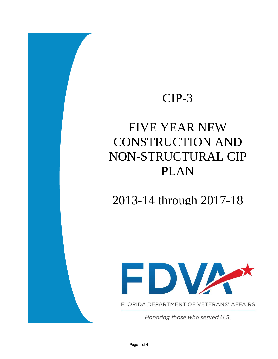### CIP-3

# FIVE YEAR NEW CONSTRUCTION AND NON-STRUCTURAL CIP PLAN

2013-14 through 2017-18



FLORIDA DEPARTMENT OF VETERANS' AFFAIRS

Honoring those who served U.S.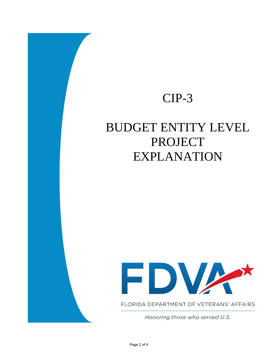### CIP-3

## BUDGET ENTITY LEVEL PROJECT EXPLANATION



FLORIDA DEPARTMENT OF VETERANS' AFFAIRS

Honoring those who served U.S.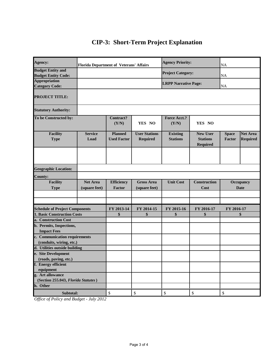#### **CIP-3: Short-Term Project Explanation**

| Agency:                                                | <b>Florida Department of Veterans' Affairs</b> |                                      |                                         | <b>Agency Priority:</b>            |                                                       | NA                       |                                    |
|--------------------------------------------------------|------------------------------------------------|--------------------------------------|-----------------------------------------|------------------------------------|-------------------------------------------------------|--------------------------|------------------------------------|
| <b>Budget Entity and</b><br><b>Budget Entity Code:</b> |                                                |                                      |                                         | <b>Project Category:</b>           |                                                       | NA                       |                                    |
| <b>Appropriation</b><br><b>Category Code:</b>          |                                                |                                      |                                         | <b>LRPP Narrative Page:</b>        |                                                       | NA                       |                                    |
| <b>PROJECT TITLE:</b>                                  |                                                |                                      |                                         |                                    |                                                       |                          |                                    |
| <b>Statutory Authority:</b>                            |                                                |                                      |                                         |                                    |                                                       |                          |                                    |
| To be Constructed by:                                  |                                                | Contract?<br>(Y/N)                   | YES NO                                  | <b>Force Acct.?</b><br>(Y/N)       | YES NO                                                |                          |                                    |
| <b>Facility</b><br><b>Type</b>                         | <b>Service</b><br>Load                         | <b>Planned</b><br><b>Used Factor</b> | <b>User Stations</b><br><b>Required</b> | <b>Existing</b><br><b>Stations</b> | <b>New User</b><br><b>Stations</b><br><b>Required</b> | <b>Space</b><br>Factor   | <b>Net Area</b><br><b>Required</b> |
|                                                        |                                                |                                      |                                         |                                    |                                                       |                          |                                    |
| <b>Geographic Location:</b>                            |                                                |                                      |                                         |                                    |                                                       |                          |                                    |
| <b>County:</b>                                         |                                                |                                      |                                         |                                    |                                                       |                          |                                    |
| <b>Facility</b><br><b>Type</b>                         | <b>Net Area</b><br>(square feet)               | <b>Efficiency</b><br>Factor          | <b>Gross Area</b><br>(square feet)      | <b>Unit Cost</b>                   | <b>Construction</b><br>Cost                           | Occupancy<br><b>Date</b> |                                    |
|                                                        |                                                |                                      |                                         |                                    |                                                       |                          |                                    |
| <b>Schedule of Project Components</b>                  |                                                | FY 2013-14                           | FY 2014-15                              | FY 2015-16                         | FY 2016-17                                            | FY 2016-17               |                                    |
| <b>1. Basic Construction Costs</b>                     |                                                | \$                                   | \$                                      | \$                                 | \$                                                    | \$                       |                                    |
| a. Construction Cost                                   |                                                |                                      |                                         |                                    |                                                       |                          |                                    |
| b. Permits, Inspections,                               |                                                |                                      |                                         |                                    |                                                       |                          |                                    |
| <b>Impact Fees</b>                                     |                                                |                                      |                                         |                                    |                                                       |                          |                                    |
| c. Communication requirements                          |                                                |                                      |                                         |                                    |                                                       |                          |                                    |
| (conduits, wiring, etc.)                               |                                                |                                      |                                         |                                    |                                                       |                          |                                    |
| d. Utilities outside building                          |                                                |                                      |                                         |                                    |                                                       |                          |                                    |
| e. Site Development<br>(roads, paving, etc.)           |                                                |                                      |                                         |                                    |                                                       |                          |                                    |
| f. Energy efficient                                    |                                                |                                      |                                         |                                    |                                                       |                          |                                    |
| equipment                                              |                                                |                                      |                                         |                                    |                                                       |                          |                                    |
| g. Art allowance                                       |                                                |                                      |                                         |                                    |                                                       |                          |                                    |
| (Section 255.043, Florida Statutes)                    |                                                |                                      |                                         |                                    |                                                       |                          |                                    |
| h. Other                                               |                                                |                                      |                                         |                                    |                                                       |                          |                                    |
| Subtotal:                                              |                                                | $\mathbb{S}$                         | $\$$                                    | \$                                 | $\mathbb{S}$                                          | $\mathbb{S}$             |                                    |

*Office of Policy and Budget - July 2012*